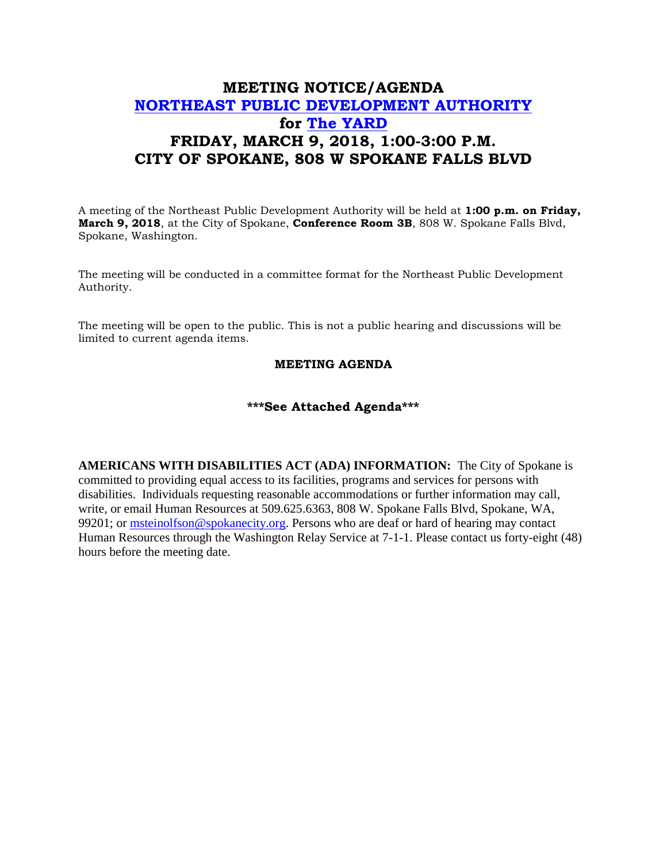## **MEETING NOTICE/AGENDA [NORTHEAST PUBLIC DEVELOPMENT AUTHORITY](https://beta.spokanecity.org/bcc/boards/northeast-public-development-authority/) for [The YARD](https://beta.spokanecity.org/projects/theyard/) FRIDAY, MARCH 9, 2018, 1:00-3:00 P.M. CITY OF SPOKANE, 808 W SPOKANE FALLS BLVD**

A meeting of the Northeast Public Development Authority will be held at **1:00 p.m. on Friday, March 9, 2018**, at the City of Spokane, **Conference Room 3B**, 808 W. Spokane Falls Blvd, Spokane, Washington.

The meeting will be conducted in a committee format for the Northeast Public Development Authority.

The meeting will be open to the public. This is not a public hearing and discussions will be limited to current agenda items.

## **MEETING AGENDA**

## **\*\*\*See Attached Agenda\*\*\***

**AMERICANS WITH DISABILITIES ACT (ADA) INFORMATION:** The City of Spokane is committed to providing equal access to its facilities, programs and services for persons with disabilities. Individuals requesting reasonable accommodations or further information may call, write, or email Human Resources at 509.625.6363, 808 W. Spokane Falls Blvd, Spokane, WA, 99201; or [msteinolfson@spokanecity.org.](mailto:msteinolfson@spokanecity.org) Persons who are deaf or hard of hearing may contact Human Resources through the Washington Relay Service at 7-1-1. Please contact us forty-eight (48) hours before the meeting date.